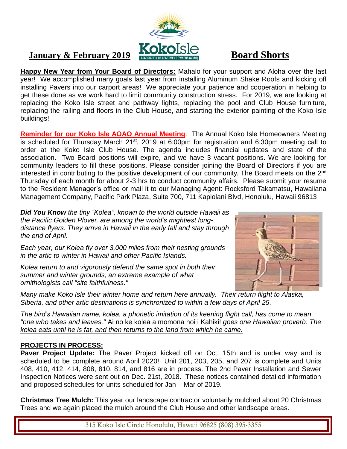# January & February 2019

**Happy New Year from Your Board of Directors:** Mahalo for your support and Aloha over the last year! We accomplished many goals last year from installing Aluminum Shake Roofs and kicking off installing Pavers into our carport areas! We appreciate your patience and cooperation in helping to get these done as we work hard to limit community construction stress. For 2019, we are looking at replacing the Koko Isle street and pathway lights, replacing the pool and Club House furniture, replacing the railing and floors in the Club House, and starting the exterior painting of the Koko Isle buildings!

**Reminder for our Koko Isle AOAO Annual Meeting**: The Annual Koko Isle Homeowners Meeting is scheduled for Thursday March  $21^{st}$ , 2019 at 6:00pm for registration and 6:30pm meeting call to order at the Koko Isle Club House. The agenda includes financial updates and state of the association. Two Board positions will expire, and we have 3 vacant positions. We are looking for community leaders to fill these positions. Please consider joining the Board of Directors if you are interested in contributing to the positive development of our community. The Board meets on the 2<sup>nd</sup> Thursday of each month for about 2-3 hrs to conduct community affairs. Please submit your resume to the Resident Manager's office or mail it to our Managing Agent: Rocksford Takamatsu, Hawaiiana Management Company, Pacific Park Plaza, Suite 700, 711 Kapiolani Blvd, Honolulu, Hawaii 96813

\_\_\_\_\_\_\_\_\_\_\_\_\_\_\_\_\_\_\_\_\_\_\_\_\_\_\_\_\_\_\_\_\_\_\_\_\_\_\_\_\_\_\_\_\_\_\_\_\_\_\_\_\_ *Did You Know the tiny "Kolea", known to the world outside Hawaii as the Pacific Golden Plover, are among the world's mightiest longdistance flyers. They arrive in Hawaii in the early fall and stay through the end of April.*

*Each year, our Kolea fly over 3,000 miles from their nesting grounds in the artic to winter in Hawaii and other Pacific Islands.*

*Kolea return to and vigorously defend the same spot in both their summer and winter grounds, an extreme example of what ornithologists call "site faithfulness."* 



*Many make Koko Isle their winter home and return here annually. Their return flight to Alaska, Siberia, and other artic destinations is synchronized to within a few days of April 25.*

*The bird's Hawaiian name, kolea, a phonetic imitation of its keening flight call, has come to mean "one who takes and leaves."* Ai no ke kolea a momona hoi i Kahiki! *goes one Hawaiian proverb: The kolea eats until he is fat, and then returns to the land from which he came.*

## **PROJECTS IN PROCESS:**

**Paver Project Update:** The Paver Project kicked off on Oct. 15th and is under way and is scheduled to be complete around April 2020! Unit 201, 203, 205, and 207 is complete and Units 408, 410, 412, 414, 808, 810, 814, and 816 are in process. The 2nd Paver Installation and Sewer Inspection Notices were sent out on Dec. 21st, 2018. These notices contained detailed information and proposed schedules for units scheduled for Jan – Mar of 2019.

**Christmas Tree Mulch:** This year our landscape contractor voluntarily mulched about 20 Christmas Trees and we again placed the mulch around the Club House and other landscape areas.

315 Koko Isle Circle Honolulu, Hawaii 96825 (808) 395-3355